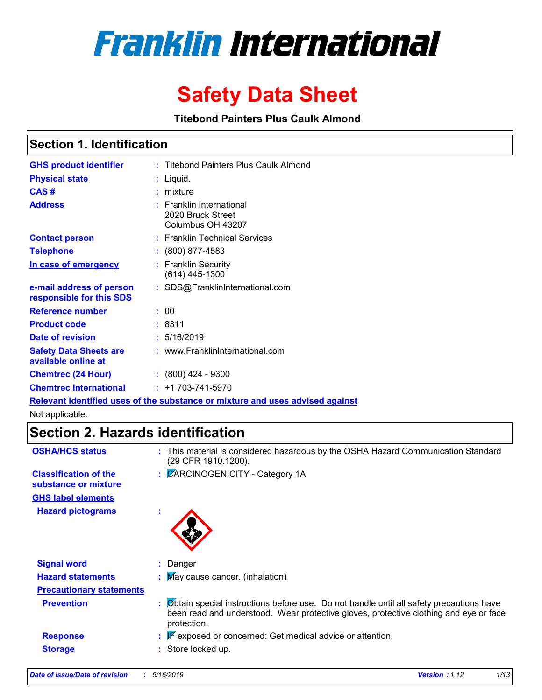

# **Safety Data Sheet**

**Titebond Painters Plus Caulk Almond**

### **Section 1. Identification**

| <b>GHS product identifier</b>                        | : Titebond Painters Plus Caulk Almond                                         |
|------------------------------------------------------|-------------------------------------------------------------------------------|
| <b>Physical state</b>                                | : Liquid.                                                                     |
| CAS#                                                 | $:$ mixture                                                                   |
| <b>Address</b>                                       | $:$ Franklin International<br>2020 Bruck Street<br>Columbus OH 43207          |
| <b>Contact person</b>                                | : Franklin Technical Services                                                 |
| <b>Telephone</b>                                     | $: (800) 877 - 4583$                                                          |
| In case of emergency                                 | : Franklin Security<br>$(614)$ 445-1300                                       |
| e-mail address of person<br>responsible for this SDS | : SDS@FranklinInternational.com                                               |
| <b>Reference number</b>                              | : 00                                                                          |
| <b>Product code</b>                                  | : 8311                                                                        |
| Date of revision                                     | : 5/16/2019                                                                   |
| <b>Safety Data Sheets are</b><br>available online at | : www.FranklinInternational.com                                               |
| <b>Chemtrec (24 Hour)</b>                            | $: (800)$ 424 - 9300                                                          |
| <b>Chemtrec International</b>                        | $: +1703 - 741 - 5970$                                                        |
|                                                      | Relevant identified uses of the substance or mixture and uses advised against |

Not applicable.

### **Section 2. Hazards identification**

| <b>OSHA/HCS status</b>                               | : This material is considered hazardous by the OSHA Hazard Communication Standard<br>(29 CFR 1910.1200).                                                                                          |
|------------------------------------------------------|---------------------------------------------------------------------------------------------------------------------------------------------------------------------------------------------------|
| <b>Classification of the</b><br>substance or mixture | : CARCINOGENICITY - Category 1A                                                                                                                                                                   |
| <b>GHS label elements</b>                            |                                                                                                                                                                                                   |
| <b>Hazard pictograms</b>                             | ÷                                                                                                                                                                                                 |
| <b>Signal word</b>                                   | : Danger                                                                                                                                                                                          |
| <b>Hazard statements</b>                             | $\therefore$ May cause cancer. (inhalation)                                                                                                                                                       |
| <b>Precautionary statements</b>                      |                                                                                                                                                                                                   |
| <b>Prevention</b>                                    | : Øbtain special instructions before use. Do not handle until all safety precautions have<br>been read and understood. Wear protective gloves, protective clothing and eye or face<br>protection. |
| <b>Response</b>                                      | $\mathbb{F}$ exposed or concerned: Get medical advice or attention.                                                                                                                               |
| <b>Storage</b>                                       | : Store locked up.                                                                                                                                                                                |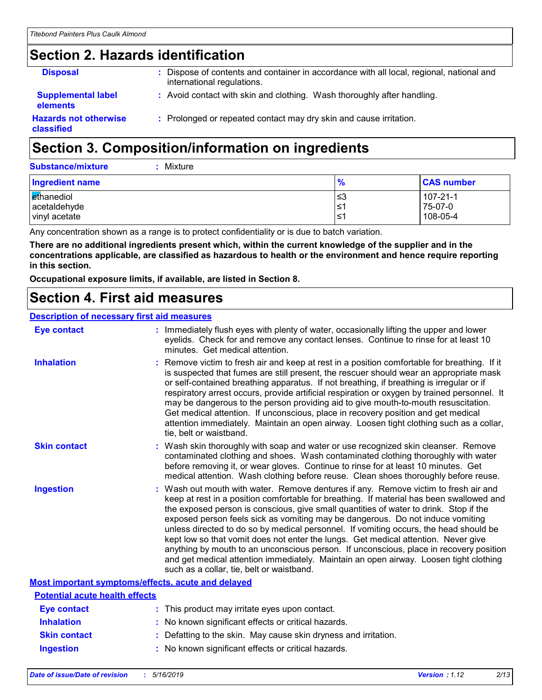# **Section 2. Hazards identification**

| <b>Disposal</b>                              | : Dispose of contents and container in accordance with all local, regional, national and<br>international regulations. |
|----------------------------------------------|------------------------------------------------------------------------------------------------------------------------|
| <b>Supplemental label</b><br><b>elements</b> | : Avoid contact with skin and clothing. Wash thoroughly after handling.                                                |
| <b>Hazards not otherwise</b><br>classified   | : Prolonged or repeated contact may dry skin and cause irritation.                                                     |

# **Section 3. Composition/information on ingredients**

| Ingredient name | %   | <b>CAS number</b> |
|-----------------|-----|-------------------|
| ethanediol      | ≤3  | 107-21-1          |
| acetaldehyde    | l≤1 | 75-07-0           |
| vinyl acetate   | '≥ا | 108-05-4          |

Any concentration shown as a range is to protect confidentiality or is due to batch variation.

**There are no additional ingredients present which, within the current knowledge of the supplier and in the concentrations applicable, are classified as hazardous to health or the environment and hence require reporting in this section.**

**Occupational exposure limits, if available, are listed in Section 8.**

### **Section 4. First aid measures**

#### **Description of necessary first aid measures**

| <b>Eye contact</b>                                 | : Immediately flush eyes with plenty of water, occasionally lifting the upper and lower<br>eyelids. Check for and remove any contact lenses. Continue to rinse for at least 10<br>minutes. Get medical attention.                                                                                                                                                                                                                                                                                                                                                                                                                                                                                                                                                         |
|----------------------------------------------------|---------------------------------------------------------------------------------------------------------------------------------------------------------------------------------------------------------------------------------------------------------------------------------------------------------------------------------------------------------------------------------------------------------------------------------------------------------------------------------------------------------------------------------------------------------------------------------------------------------------------------------------------------------------------------------------------------------------------------------------------------------------------------|
| <b>Inhalation</b>                                  | : Remove victim to fresh air and keep at rest in a position comfortable for breathing. If it<br>is suspected that fumes are still present, the rescuer should wear an appropriate mask<br>or self-contained breathing apparatus. If not breathing, if breathing is irregular or if<br>respiratory arrest occurs, provide artificial respiration or oxygen by trained personnel. It<br>may be dangerous to the person providing aid to give mouth-to-mouth resuscitation.<br>Get medical attention. If unconscious, place in recovery position and get medical<br>attention immediately. Maintain an open airway. Loosen tight clothing such as a collar,<br>tie, belt or waistband.                                                                                       |
| <b>Skin contact</b>                                | : Wash skin thoroughly with soap and water or use recognized skin cleanser. Remove<br>contaminated clothing and shoes. Wash contaminated clothing thoroughly with water<br>before removing it, or wear gloves. Continue to rinse for at least 10 minutes. Get<br>medical attention. Wash clothing before reuse. Clean shoes thoroughly before reuse.                                                                                                                                                                                                                                                                                                                                                                                                                      |
| <b>Ingestion</b>                                   | : Wash out mouth with water. Remove dentures if any. Remove victim to fresh air and<br>keep at rest in a position comfortable for breathing. If material has been swallowed and<br>the exposed person is conscious, give small quantities of water to drink. Stop if the<br>exposed person feels sick as vomiting may be dangerous. Do not induce vomiting<br>unless directed to do so by medical personnel. If vomiting occurs, the head should be<br>kept low so that vomit does not enter the lungs. Get medical attention. Never give<br>anything by mouth to an unconscious person. If unconscious, place in recovery position<br>and get medical attention immediately. Maintain an open airway. Loosen tight clothing<br>such as a collar, tie, belt or waistband. |
| Most important symptoms/effects, acute and delayed |                                                                                                                                                                                                                                                                                                                                                                                                                                                                                                                                                                                                                                                                                                                                                                           |
| <b>Potential acute health effects</b>              |                                                                                                                                                                                                                                                                                                                                                                                                                                                                                                                                                                                                                                                                                                                                                                           |
| <b>Eye contact</b>                                 | : This product may irritate eyes upon contact.                                                                                                                                                                                                                                                                                                                                                                                                                                                                                                                                                                                                                                                                                                                            |
| <b>Inhalation</b>                                  | : No known significant effects or critical hazards.                                                                                                                                                                                                                                                                                                                                                                                                                                                                                                                                                                                                                                                                                                                       |
| <b>Skin contact</b>                                | : Defatting to the skin. May cause skin dryness and irritation.                                                                                                                                                                                                                                                                                                                                                                                                                                                                                                                                                                                                                                                                                                           |

**Ingestion :** No known significant effects or critical hazards.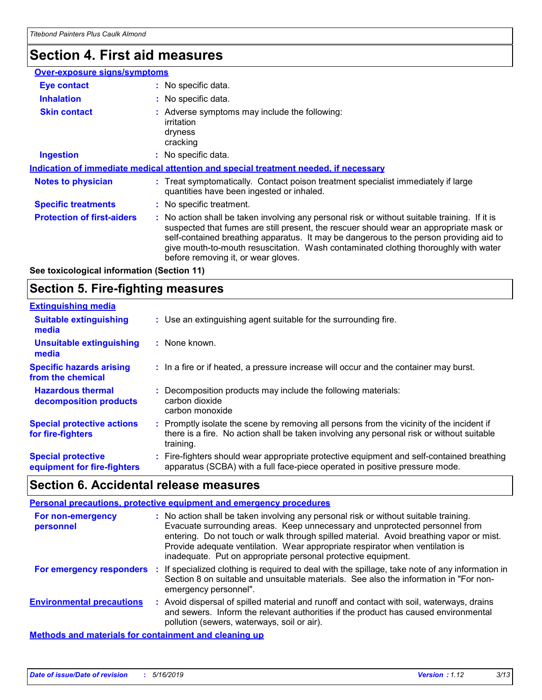# **Section 4. First aid measures**

| <b>Over-exposure signs/symptoms</b> |                                                                                                                                                                                                                                                                                                                                                                                                                 |
|-------------------------------------|-----------------------------------------------------------------------------------------------------------------------------------------------------------------------------------------------------------------------------------------------------------------------------------------------------------------------------------------------------------------------------------------------------------------|
| <b>Eye contact</b>                  | : No specific data.                                                                                                                                                                                                                                                                                                                                                                                             |
| <b>Inhalation</b>                   | : No specific data.                                                                                                                                                                                                                                                                                                                                                                                             |
| <b>Skin contact</b>                 | : Adverse symptoms may include the following:<br>irritation<br>dryness<br>cracking                                                                                                                                                                                                                                                                                                                              |
| <b>Ingestion</b>                    | : No specific data.                                                                                                                                                                                                                                                                                                                                                                                             |
|                                     | Indication of immediate medical attention and special treatment needed, if necessary                                                                                                                                                                                                                                                                                                                            |
| <b>Notes to physician</b>           | : Treat symptomatically. Contact poison treatment specialist immediately if large<br>quantities have been ingested or inhaled.                                                                                                                                                                                                                                                                                  |
| <b>Specific treatments</b>          | : No specific treatment.                                                                                                                                                                                                                                                                                                                                                                                        |
| <b>Protection of first-aiders</b>   | : No action shall be taken involving any personal risk or without suitable training. If it is<br>suspected that fumes are still present, the rescuer should wear an appropriate mask or<br>self-contained breathing apparatus. It may be dangerous to the person providing aid to<br>give mouth-to-mouth resuscitation. Wash contaminated clothing thoroughly with water<br>before removing it, or wear gloves. |

**See toxicological information (Section 11)**

### **Section 5. Fire-fighting measures**

| <b>Extinguishing media</b>                               |                                                                                                                                                                                                     |
|----------------------------------------------------------|-----------------------------------------------------------------------------------------------------------------------------------------------------------------------------------------------------|
| <b>Suitable extinguishing</b><br>media                   | : Use an extinguishing agent suitable for the surrounding fire.                                                                                                                                     |
| Unsuitable extinguishing<br>media                        | : None known.                                                                                                                                                                                       |
| <b>Specific hazards arising</b><br>from the chemical     | : In a fire or if heated, a pressure increase will occur and the container may burst.                                                                                                               |
| <b>Hazardous thermal</b><br>decomposition products       | Decomposition products may include the following materials:<br>carbon dioxide<br>carbon monoxide                                                                                                    |
| <b>Special protective actions</b><br>for fire-fighters   | : Promptly isolate the scene by removing all persons from the vicinity of the incident if<br>there is a fire. No action shall be taken involving any personal risk or without suitable<br>training. |
| <b>Special protective</b><br>equipment for fire-fighters | : Fire-fighters should wear appropriate protective equipment and self-contained breathing<br>apparatus (SCBA) with a full face-piece operated in positive pressure mode.                            |

### **Section 6. Accidental release measures**

#### **Personal precautions, protective equipment and emergency procedures**

| For non-emergency<br>personnel   | : No action shall be taken involving any personal risk or without suitable training.<br>Evacuate surrounding areas. Keep unnecessary and unprotected personnel from<br>entering. Do not touch or walk through spilled material. Avoid breathing vapor or mist.<br>Provide adequate ventilation. Wear appropriate respirator when ventilation is<br>inadequate. Put on appropriate personal protective equipment. |
|----------------------------------|------------------------------------------------------------------------------------------------------------------------------------------------------------------------------------------------------------------------------------------------------------------------------------------------------------------------------------------------------------------------------------------------------------------|
| For emergency responders         | : If specialized clothing is required to deal with the spillage, take note of any information in<br>Section 8 on suitable and unsuitable materials. See also the information in "For non-<br>emergency personnel".                                                                                                                                                                                               |
| <b>Environmental precautions</b> | : Avoid dispersal of spilled material and runoff and contact with soil, waterways, drains<br>and sewers. Inform the relevant authorities if the product has caused environmental<br>pollution (sewers, waterways, soil or air).                                                                                                                                                                                  |
|                                  |                                                                                                                                                                                                                                                                                                                                                                                                                  |

**Methods and materials for containment and cleaning up**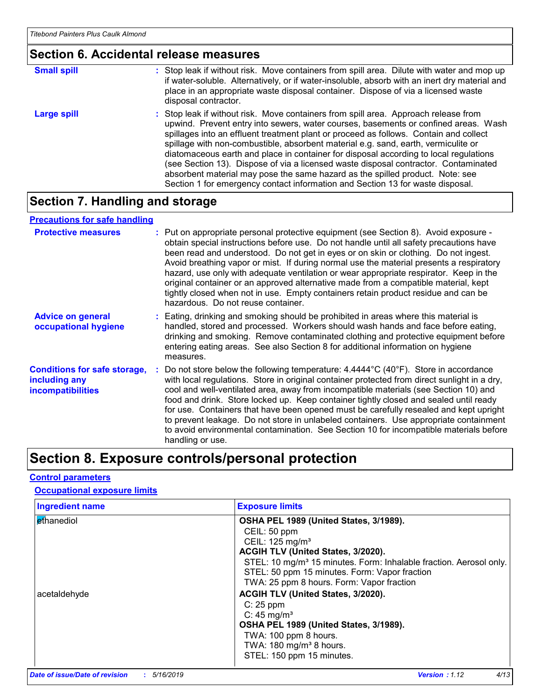#### **Section 6. Accidental release measures**

| <b>Small spill</b> | : Stop leak if without risk. Move containers from spill area. Dilute with water and mop up<br>if water-soluble. Alternatively, or if water-insoluble, absorb with an inert dry material and<br>place in an appropriate waste disposal container. Dispose of via a licensed waste<br>disposal contractor.                                                                                                                                                                                                                                                                                                                                                                                                     |
|--------------------|--------------------------------------------------------------------------------------------------------------------------------------------------------------------------------------------------------------------------------------------------------------------------------------------------------------------------------------------------------------------------------------------------------------------------------------------------------------------------------------------------------------------------------------------------------------------------------------------------------------------------------------------------------------------------------------------------------------|
| <b>Large spill</b> | : Stop leak if without risk. Move containers from spill area. Approach release from<br>upwind. Prevent entry into sewers, water courses, basements or confined areas. Wash<br>spillages into an effluent treatment plant or proceed as follows. Contain and collect<br>spillage with non-combustible, absorbent material e.g. sand, earth, vermiculite or<br>diatomaceous earth and place in container for disposal according to local regulations<br>(see Section 13). Dispose of via a licensed waste disposal contractor. Contaminated<br>absorbent material may pose the same hazard as the spilled product. Note: see<br>Section 1 for emergency contact information and Section 13 for waste disposal. |

### **Section 7. Handling and storage**

#### **Advice on general occupational hygiene Conditions for safe storage, including any incompatibilities** Eating, drinking and smoking should be prohibited in areas where this material is **:** handled, stored and processed. Workers should wash hands and face before eating, drinking and smoking. Remove contaminated clothing and protective equipment before entering eating areas. See also Section 8 for additional information on hygiene measures. Do not store below the following temperature: 4.4444°C (40°F). Store in accordance **:** with local regulations. Store in original container protected from direct sunlight in a dry, cool and well-ventilated area, away from incompatible materials (see Section 10) and food and drink. Store locked up. Keep container tightly closed and sealed until ready for use. Containers that have been opened must be carefully resealed and kept upright to prevent leakage. Do not store in unlabeled containers. Use appropriate containment to avoid environmental contamination. See Section 10 for incompatible materials before handling or use. **Protective measures** : Put on appropriate personal protective equipment (see Section 8). Avoid exposure obtain special instructions before use. Do not handle until all safety precautions have been read and understood. Do not get in eyes or on skin or clothing. Do not ingest. Avoid breathing vapor or mist. If during normal use the material presents a respiratory hazard, use only with adequate ventilation or wear appropriate respirator. Keep in the original container or an approved alternative made from a compatible material, kept tightly closed when not in use. Empty containers retain product residue and can be hazardous. Do not reuse container. **Precautions for safe handling**

### **Section 8. Exposure controls/personal protection**

#### **Control parameters**

#### **Occupational exposure limits**

| <b>Ingredient name</b> | <b>Exposure limits</b>                                                         |
|------------------------|--------------------------------------------------------------------------------|
| Ethanediol             | OSHA PEL 1989 (United States, 3/1989).                                         |
|                        | CEIL: 50 ppm                                                                   |
|                        | CEIL: 125 mg/m <sup>3</sup>                                                    |
|                        | ACGIH TLV (United States, 3/2020).                                             |
|                        | STEL: 10 mg/m <sup>3</sup> 15 minutes. Form: Inhalable fraction. Aerosol only. |
|                        | STEL: 50 ppm 15 minutes. Form: Vapor fraction                                  |
|                        | TWA: 25 ppm 8 hours. Form: Vapor fraction                                      |
| acetaldehyde           | ACGIH TLV (United States, 3/2020).                                             |
|                        | $C: 25$ ppm                                                                    |
|                        | C: $45 \text{ mg/m}^3$                                                         |
|                        | OSHA PEL 1989 (United States, 3/1989).                                         |
|                        | TWA: 100 ppm 8 hours.                                                          |
|                        | TWA: $180 \text{ mg/m}^3$ 8 hours.                                             |
|                        | STEL: 150 ppm 15 minutes.                                                      |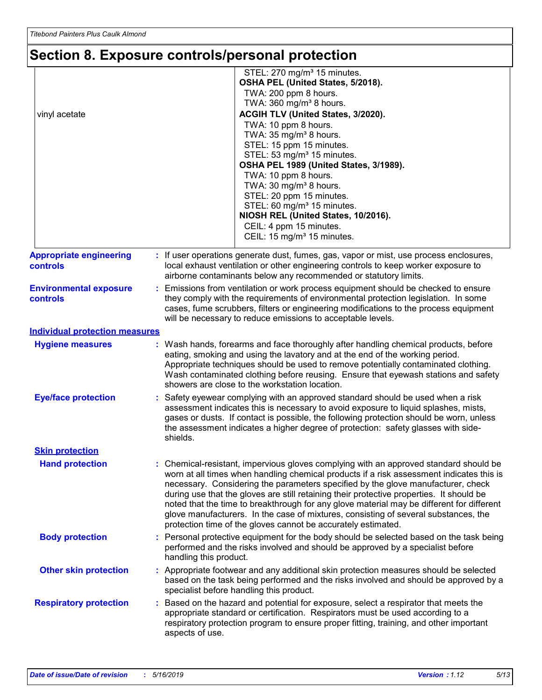# **Section 8. Exposure controls/personal protection**

| vinyl acetate                                     | STEL: 270 mg/m <sup>3</sup> 15 minutes.<br>OSHA PEL (United States, 5/2018).<br>TWA: 200 ppm 8 hours.<br>TWA: 360 mg/m <sup>3</sup> 8 hours.<br>ACGIH TLV (United States, 3/2020).<br>TWA: 10 ppm 8 hours.<br>TWA: 35 mg/m <sup>3</sup> 8 hours.<br>STEL: 15 ppm 15 minutes.<br>STEL: 53 mg/m <sup>3</sup> 15 minutes.<br>OSHA PEL 1989 (United States, 3/1989).<br>TWA: 10 ppm 8 hours.<br>TWA: 30 mg/m <sup>3</sup> 8 hours.<br>STEL: 20 ppm 15 minutes.<br>STEL: 60 mg/m <sup>3</sup> 15 minutes.<br>NIOSH REL (United States, 10/2016).<br>CEIL: 4 ppm 15 minutes.<br>CEIL: 15 mg/m <sup>3</sup> 15 minutes.     |  |
|---------------------------------------------------|----------------------------------------------------------------------------------------------------------------------------------------------------------------------------------------------------------------------------------------------------------------------------------------------------------------------------------------------------------------------------------------------------------------------------------------------------------------------------------------------------------------------------------------------------------------------------------------------------------------------|--|
| <b>Appropriate engineering</b><br><b>controls</b> | : If user operations generate dust, fumes, gas, vapor or mist, use process enclosures,<br>local exhaust ventilation or other engineering controls to keep worker exposure to<br>airborne contaminants below any recommended or statutory limits.                                                                                                                                                                                                                                                                                                                                                                     |  |
| <b>Environmental exposure</b><br>controls         | Emissions from ventilation or work process equipment should be checked to ensure<br>they comply with the requirements of environmental protection legislation. In some<br>cases, fume scrubbers, filters or engineering modifications to the process equipment<br>will be necessary to reduce emissions to acceptable levels.                                                                                                                                                                                                                                                                                        |  |
| <b>Individual protection measures</b>             |                                                                                                                                                                                                                                                                                                                                                                                                                                                                                                                                                                                                                      |  |
| <b>Hygiene measures</b>                           | : Wash hands, forearms and face thoroughly after handling chemical products, before<br>eating, smoking and using the lavatory and at the end of the working period.<br>Appropriate techniques should be used to remove potentially contaminated clothing.<br>Wash contaminated clothing before reusing. Ensure that eyewash stations and safety<br>showers are close to the workstation location.                                                                                                                                                                                                                    |  |
| <b>Eye/face protection</b>                        | Safety eyewear complying with an approved standard should be used when a risk<br>assessment indicates this is necessary to avoid exposure to liquid splashes, mists,<br>gases or dusts. If contact is possible, the following protection should be worn, unless<br>the assessment indicates a higher degree of protection: safety glasses with side-<br>shields.                                                                                                                                                                                                                                                     |  |
| <b>Skin protection</b>                            |                                                                                                                                                                                                                                                                                                                                                                                                                                                                                                                                                                                                                      |  |
| <b>Hand protection</b>                            | Chemical-resistant, impervious gloves complying with an approved standard should be<br>worn at all times when handling chemical products if a risk assessment indicates this is<br>necessary. Considering the parameters specified by the glove manufacturer, check<br>during use that the gloves are still retaining their protective properties. It should be<br>noted that the time to breakthrough for any glove material may be different for different<br>glove manufacturers. In the case of mixtures, consisting of several substances, the<br>protection time of the gloves cannot be accurately estimated. |  |
| <b>Body protection</b>                            | : Personal protective equipment for the body should be selected based on the task being<br>performed and the risks involved and should be approved by a specialist before<br>handling this product.                                                                                                                                                                                                                                                                                                                                                                                                                  |  |
| <b>Other skin protection</b>                      | : Appropriate footwear and any additional skin protection measures should be selected<br>based on the task being performed and the risks involved and should be approved by a<br>specialist before handling this product.                                                                                                                                                                                                                                                                                                                                                                                            |  |
| <b>Respiratory protection</b>                     | : Based on the hazard and potential for exposure, select a respirator that meets the<br>appropriate standard or certification. Respirators must be used according to a<br>respiratory protection program to ensure proper fitting, training, and other important<br>aspects of use.                                                                                                                                                                                                                                                                                                                                  |  |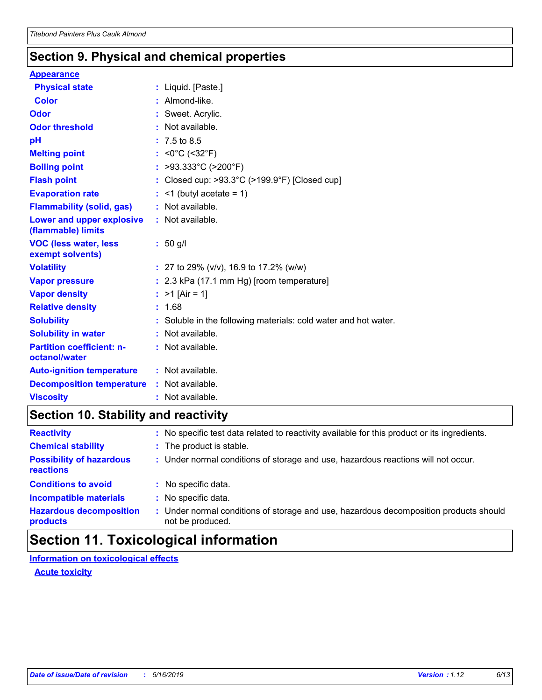### **Section 9. Physical and chemical properties**

#### **Appearance**

| <b>Physical state</b>                                  | : Liquid. [Paste.]                                                 |
|--------------------------------------------------------|--------------------------------------------------------------------|
| <b>Color</b>                                           | : Almond-like.                                                     |
| Odor                                                   | : Sweet. Acrylic.                                                  |
| <b>Odor threshold</b>                                  | : Not available.                                                   |
| pH                                                     | $: 7.5 \text{ to } 8.5$                                            |
| <b>Melting point</b>                                   | : < $0^{\circ}$ C (< $32^{\circ}$ F)                               |
| <b>Boiling point</b>                                   | : >93.333°C (>200°F)                                               |
| <b>Flash point</b>                                     | : Closed cup: $>93.3^{\circ}$ C ( $>199.9^{\circ}$ F) [Closed cup] |
| <b>Evaporation rate</b>                                | $:$ <1 (butyl acetate = 1)                                         |
| <b>Flammability (solid, gas)</b>                       | : Not available.                                                   |
| <b>Lower and upper explosive</b><br>(flammable) limits | : Not available.                                                   |
| <b>VOC (less water, less</b><br>exempt solvents)       | $: 50$ g/l                                                         |
| <b>Volatility</b>                                      | : 27 to 29% ( $v/v$ ), 16.9 to 17.2% ( $w/w$ )                     |
| <b>Vapor pressure</b>                                  | : 2.3 kPa (17.1 mm Hg) [room temperature]                          |
| <b>Vapor density</b>                                   | : $>1$ [Air = 1]                                                   |
| <b>Relative density</b>                                | : 1.68                                                             |
| <b>Solubility</b>                                      | Soluble in the following materials: cold water and hot water.      |
| <b>Solubility in water</b>                             | : Not available.                                                   |
| <b>Partition coefficient: n-</b><br>octanol/water      | : Not available.                                                   |
| <b>Auto-ignition temperature</b>                       | : Not available.                                                   |
| <b>Decomposition temperature</b>                       | : Not available.                                                   |
| <b>Viscosity</b>                                       | : Not available.                                                   |

### **Section 10. Stability and reactivity**

| <b>Reactivity</b>                            | : No specific test data related to reactivity available for this product or its ingredients.            |
|----------------------------------------------|---------------------------------------------------------------------------------------------------------|
| <b>Chemical stability</b>                    | : The product is stable.                                                                                |
| <b>Possibility of hazardous</b><br>reactions | : Under normal conditions of storage and use, hazardous reactions will not occur.                       |
| <b>Conditions to avoid</b>                   | : No specific data.                                                                                     |
| <b>Incompatible materials</b>                | No specific data.                                                                                       |
| <b>Hazardous decomposition</b><br>products   | Under normal conditions of storage and use, hazardous decomposition products should<br>not be produced. |

# **Section 11. Toxicological information**

**Information on toxicological effects**

**Acute toxicity**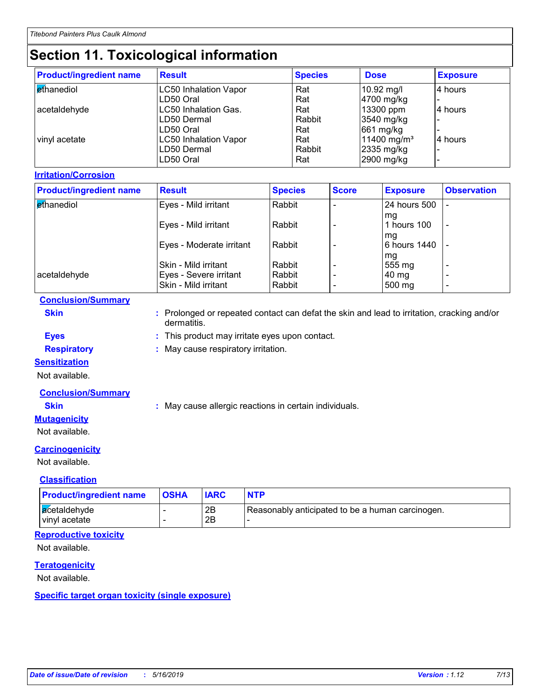# **Section 11. Toxicological information**

| <b>Product/ingredient name</b> | <b>Result</b>                | <b>Species</b> | <b>Dose</b>             | <b>Exposure</b> |
|--------------------------------|------------------------------|----------------|-------------------------|-----------------|
| <b>ethanediol</b>              | <b>LC50 Inhalation Vapor</b> | Rat            | 10.92 mg/l              | 4 hours         |
|                                | LD50 Oral                    | Rat            | 4700 mg/kg              |                 |
| acetaldehyde                   | LC50 Inhalation Gas.         | Rat            | 13300 ppm               | 4 hours         |
|                                | LD50 Dermal                  | Rabbit         | 3540 mg/kg              |                 |
|                                | LD50 Oral                    | Rat            | 661 mg/kg               |                 |
| vinyl acetate                  | <b>LC50 Inhalation Vapor</b> | Rat            | 11400 mg/m <sup>3</sup> | l4 hours        |
|                                | LD50 Dermal                  | Rabbit         | 2335 mg/kg              |                 |
|                                | LD50 Oral                    | Rat            | 2900 mg/kg              |                 |

#### **Irritation/Corrosion**

| <b>Product/ingredient name</b> | <b>Result</b>            | <b>Species</b> | <b>Score</b> | <b>Exposure</b>    | <b>Observation</b>       |
|--------------------------------|--------------------------|----------------|--------------|--------------------|--------------------------|
| ethanediol                     | Eyes - Mild irritant     | Rabbit         |              | 24 hours 500       |                          |
|                                | Eyes - Mild irritant     | Rabbit         |              | mq<br>hours 100    | $\overline{\phantom{a}}$ |
|                                | Eyes - Moderate irritant | Rabbit         |              | mq<br>6 hours 1440 |                          |
|                                | Skin - Mild irritant     | Rabbit         |              | mg<br>555 mg       |                          |
| acetaldehyde                   | Eyes - Severe irritant   | Rabbit         |              | 40 mg              | $\overline{\phantom{0}}$ |
|                                | Skin - Mild irritant     | Rabbit         |              | 500 mg             | $\overline{\phantom{0}}$ |

#### **Conclusion/Summary**

**Skin :** Prolonged or repeated contact can defat the skin and lead to irritation, cracking and/or dermatitis.

**Eyes :** This product may irritate eyes upon contact.

**Respiratory :** May cause respiratory irritation.

#### **Sensitization**

Not available.

#### **Conclusion/Summary**

### **Skin :** May cause allergic reactions in certain individuals.

**Mutagenicity**

Not available.

#### **Carcinogenicity**

Not available.

#### **Classification**

| <b>Product/ingredient name</b>  | <b>OSHA</b> |          | <b>NTP</b>                                       |
|---------------------------------|-------------|----------|--------------------------------------------------|
| acetaldehyde<br>l vinvl acetate |             | 2Β<br>2B | Reasonably anticipated to be a human carcinogen. |

#### **Reproductive toxicity**

Not available.

#### **Teratogenicity**

Not available.

#### **Specific target organ toxicity (single exposure)**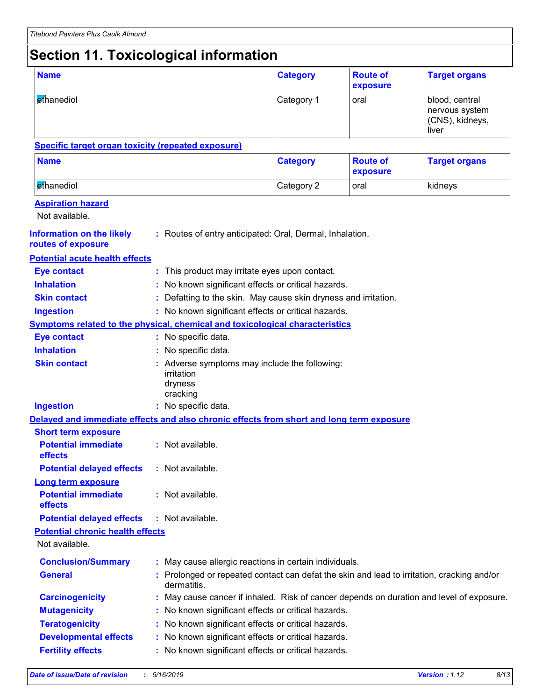# **Section 11. Toxicological information**

| <b>Name</b>                                                                              |  |                                                                                                           | <b>Category</b> | <b>Route of</b><br>exposure | <b>Target organs</b>                                         |  |  |
|------------------------------------------------------------------------------------------|--|-----------------------------------------------------------------------------------------------------------|-----------------|-----------------------------|--------------------------------------------------------------|--|--|
| ethanediol                                                                               |  |                                                                                                           | Category 1      | oral                        | blood, central<br>nervous system<br>(CNS), kidneys,<br>liver |  |  |
| <b>Specific target organ toxicity (repeated exposure)</b>                                |  |                                                                                                           |                 |                             |                                                              |  |  |
| <b>Name</b>                                                                              |  |                                                                                                           | <b>Category</b> | <b>Route of</b><br>exposure | <b>Target organs</b>                                         |  |  |
| ethanediol                                                                               |  |                                                                                                           | Category 2      | oral                        | kidneys                                                      |  |  |
| <b>Aspiration hazard</b><br>Not available.                                               |  |                                                                                                           |                 |                             |                                                              |  |  |
| <b>Information on the likely</b><br>routes of exposure                                   |  | : Routes of entry anticipated: Oral, Dermal, Inhalation.                                                  |                 |                             |                                                              |  |  |
| <b>Potential acute health effects</b>                                                    |  |                                                                                                           |                 |                             |                                                              |  |  |
| <b>Eye contact</b>                                                                       |  | This product may irritate eyes upon contact.                                                              |                 |                             |                                                              |  |  |
| <b>Inhalation</b>                                                                        |  | No known significant effects or critical hazards.                                                         |                 |                             |                                                              |  |  |
| <b>Skin contact</b>                                                                      |  | Defatting to the skin. May cause skin dryness and irritation.                                             |                 |                             |                                                              |  |  |
| <b>Ingestion</b>                                                                         |  | : No known significant effects or critical hazards.                                                       |                 |                             |                                                              |  |  |
| <b>Symptoms related to the physical, chemical and toxicological characteristics</b>      |  |                                                                                                           |                 |                             |                                                              |  |  |
| <b>Eye contact</b>                                                                       |  | : No specific data.                                                                                       |                 |                             |                                                              |  |  |
| <b>Inhalation</b>                                                                        |  | : No specific data.                                                                                       |                 |                             |                                                              |  |  |
| <b>Skin contact</b>                                                                      |  | : Adverse symptoms may include the following:<br>irritation<br>dryness<br>cracking                        |                 |                             |                                                              |  |  |
| <b>Ingestion</b>                                                                         |  | : No specific data.                                                                                       |                 |                             |                                                              |  |  |
| Delayed and immediate effects and also chronic effects from short and long term exposure |  |                                                                                                           |                 |                             |                                                              |  |  |
| <b>Short term exposure</b>                                                               |  |                                                                                                           |                 |                             |                                                              |  |  |
| <b>Potential immediate</b><br>effects                                                    |  | : Not available.                                                                                          |                 |                             |                                                              |  |  |
| <b>Potential delayed effects</b>                                                         |  | : Not available.                                                                                          |                 |                             |                                                              |  |  |
| <b>Long term exposure</b><br><b>Potential immediate</b><br>effects                       |  | : Not available.                                                                                          |                 |                             |                                                              |  |  |
| <b>Potential delayed effects</b>                                                         |  | : Not available.                                                                                          |                 |                             |                                                              |  |  |
| <b>Potential chronic health effects</b>                                                  |  |                                                                                                           |                 |                             |                                                              |  |  |
| Not available.                                                                           |  |                                                                                                           |                 |                             |                                                              |  |  |
| <b>Conclusion/Summary</b>                                                                |  | : May cause allergic reactions in certain individuals.                                                    |                 |                             |                                                              |  |  |
| <b>General</b>                                                                           |  | : Prolonged or repeated contact can defat the skin and lead to irritation, cracking and/or<br>dermatitis. |                 |                             |                                                              |  |  |
| <b>Carcinogenicity</b>                                                                   |  | May cause cancer if inhaled. Risk of cancer depends on duration and level of exposure.                    |                 |                             |                                                              |  |  |
| <b>Mutagenicity</b>                                                                      |  | No known significant effects or critical hazards.                                                         |                 |                             |                                                              |  |  |
| <b>Teratogenicity</b>                                                                    |  | No known significant effects or critical hazards.                                                         |                 |                             |                                                              |  |  |
| <b>Developmental effects</b>                                                             |  | No known significant effects or critical hazards.                                                         |                 |                             |                                                              |  |  |
| <b>Fertility effects</b>                                                                 |  | No known significant effects or critical hazards.                                                         |                 |                             |                                                              |  |  |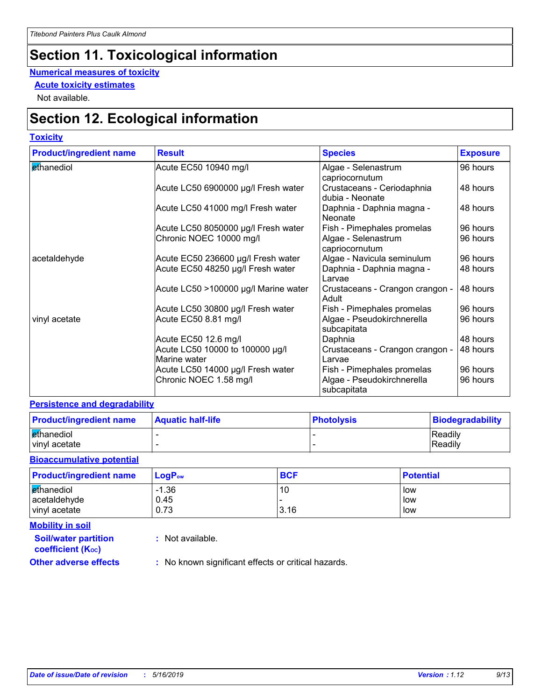# **Section 11. Toxicological information**

#### **Numerical measures of toxicity**

**Acute toxicity estimates**

Not available.

# **Section 12. Ecological information**

#### **Toxicity**

| <b>Product/ingredient name</b> | <b>Result</b>                        | <b>Species</b>                                | <b>Exposure</b> |
|--------------------------------|--------------------------------------|-----------------------------------------------|-----------------|
| ethanediol                     | Acute EC50 10940 mg/l                | Algae - Selenastrum                           | 96 hours        |
|                                |                                      | capriocornutum                                |                 |
|                                | Acute LC50 6900000 µg/l Fresh water  | Crustaceans - Ceriodaphnia<br>dubia - Neonate | 48 hours        |
|                                | Acute LC50 41000 mg/l Fresh water    | Daphnia - Daphnia magna -<br>Neonate          | 48 hours        |
|                                | Acute LC50 8050000 µg/l Fresh water  | Fish - Pimephales promelas                    | 96 hours        |
|                                | Chronic NOEC 10000 mg/l              | Algae - Selenastrum                           | 96 hours        |
|                                |                                      | capriocornutum                                |                 |
| acetaldehyde                   | Acute EC50 236600 µg/l Fresh water   | Algae - Navicula seminulum                    | 96 hours        |
|                                | Acute EC50 48250 µg/l Fresh water    | Daphnia - Daphnia magna -<br>l Larvae         | 48 hours        |
|                                | Acute LC50 >100000 µg/l Marine water | Crustaceans - Crangon crangon -<br>Adult      | 48 hours        |
|                                | Acute LC50 30800 µg/l Fresh water    | Fish - Pimephales promelas                    | 96 hours        |
| vinyl acetate                  | Acute EC50 8.81 mg/l                 | Algae - Pseudokirchnerella<br>subcapitata     | 96 hours        |
|                                | Acute EC50 12.6 mg/l                 | Daphnia                                       | 48 hours        |
|                                | Acute LC50 10000 to 100000 µg/l      | Crustaceans - Crangon crangon -               | 48 hours        |
|                                | Marine water                         | Larvae                                        |                 |
|                                | Acute LC50 14000 µg/l Fresh water    | Fish - Pimephales promelas                    | 96 hours        |
|                                | Chronic NOEC 1.58 mg/l               | Algae - Pseudokirchnerella<br>subcapitata     | 96 hours        |

#### **Persistence and degradability**

| <b>Product/ingredient name</b> | <b>Aquatic half-life</b> | <b>Photolysis</b> | Biodegradability |
|--------------------------------|--------------------------|-------------------|------------------|
| ethanediol                     |                          |                   | Readily          |
| vinyl acetate                  |                          |                   | Readily          |

#### **Bioaccumulative potential**

| <b>Product/ingredient name</b> | $\mathsf{LogP}_\mathsf{ow}$ | <b>BCF</b> | <b>Potential</b> |
|--------------------------------|-----------------------------|------------|------------------|
| ethanediol<br>acetaldehyde     | $-1.36$<br>0.45             | 10         | low<br>low       |
| vinyl acetate                  | 0.73                        | 3.16       | low              |

**Mobility in soil**

**:** Not available.

**coefficient (KOC)**

**Soil/water partition** 

**Other adverse effects** : No known significant effects or critical hazards.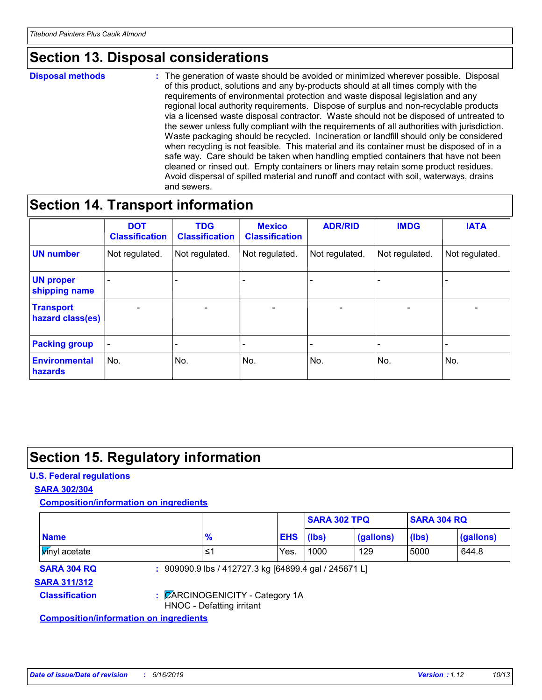# **Section 13. Disposal considerations**

#### **Disposal methods :**

The generation of waste should be avoided or minimized wherever possible. Disposal of this product, solutions and any by-products should at all times comply with the requirements of environmental protection and waste disposal legislation and any regional local authority requirements. Dispose of surplus and non-recyclable products via a licensed waste disposal contractor. Waste should not be disposed of untreated to the sewer unless fully compliant with the requirements of all authorities with jurisdiction. Waste packaging should be recycled. Incineration or landfill should only be considered when recycling is not feasible. This material and its container must be disposed of in a safe way. Care should be taken when handling emptied containers that have not been cleaned or rinsed out. Empty containers or liners may retain some product residues. Avoid dispersal of spilled material and runoff and contact with soil, waterways, drains and sewers.

### **Section 14. Transport information**

|                                      | <b>DOT</b><br><b>Classification</b> | <b>TDG</b><br><b>Classification</b> | <b>Mexico</b><br><b>Classification</b> | <b>ADR/RID</b>           | <b>IMDG</b>     | <b>IATA</b>              |
|--------------------------------------|-------------------------------------|-------------------------------------|----------------------------------------|--------------------------|-----------------|--------------------------|
| <b>UN number</b>                     | Not regulated.                      | Not regulated.                      | Not regulated.                         | Not regulated.           | Not regulated.  | Not regulated.           |
| <b>UN proper</b><br>shipping name    |                                     |                                     |                                        |                          |                 |                          |
| <b>Transport</b><br>hazard class(es) | $\overline{\phantom{0}}$            | $\overline{\phantom{0}}$            | $\overline{\phantom{a}}$               | $\overline{\phantom{a}}$ | $\qquad \qquad$ | $\overline{\phantom{0}}$ |
| <b>Packing group</b>                 | $\qquad \qquad \blacksquare$        |                                     |                                        |                          |                 |                          |
| <b>Environmental</b><br>hazards      | No.                                 | No.                                 | No.                                    | No.                      | No.             | No.                      |

### **Section 15. Regulatory information**

#### **U.S. Federal regulations**

#### **SARA 302/304**

**Composition/information on ingredients**

|                                               |                           |                                                       | <b>SARA 302 TPQ</b> |           | <b>SARA 304 RQ</b> |           |
|-----------------------------------------------|---------------------------|-------------------------------------------------------|---------------------|-----------|--------------------|-----------|
| <b>Name</b>                                   | $\frac{9}{6}$             |                                                       | <b>EHS</b><br>(lbs) | (gallons) | (lbs)              | (gallons) |
| <b>Vinyl</b> acetate                          | 1≥                        | Yes.                                                  | 1000                | 129       | 5000               | 644.8     |
| <b>SARA 304 RQ</b>                            |                           | : 909090.9 lbs / 412727.3 kg [64899.4 gal / 245671 L] |                     |           |                    |           |
| <b>SARA 311/312</b>                           |                           |                                                       |                     |           |                    |           |
| <b>Classification</b>                         | HNOC - Defatting irritant | : CARCINOGENICITY - Category 1A                       |                     |           |                    |           |
| <b>Composition/information on ingredients</b> |                           |                                                       |                     |           |                    |           |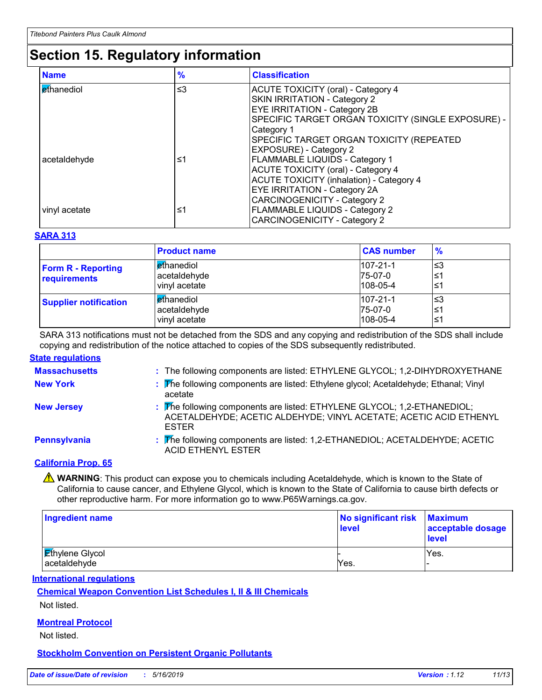# **Section 15. Regulatory information**

| <b>Name</b>       | $\frac{9}{6}$ | <b>Classification</b>                              |
|-------------------|---------------|----------------------------------------------------|
| <b>ethanediol</b> | $\leq$ 3      | ACUTE TOXICITY (oral) - Category 4                 |
|                   |               | <b>SKIN IRRITATION - Category 2</b>                |
|                   |               | <b>EYE IRRITATION - Category 2B</b>                |
|                   |               | SPECIFIC TARGET ORGAN TOXICITY (SINGLE EXPOSURE) - |
|                   |               | Category 1                                         |
|                   |               | SPECIFIC TARGET ORGAN TOXICITY (REPEATED           |
|                   |               | <b>EXPOSURE) - Category 2</b>                      |
| acetaldehyde      | ≤1            | <b>FLAMMABLE LIQUIDS - Category 1</b>              |
|                   |               | <b>ACUTE TOXICITY (oral) - Category 4</b>          |
|                   |               | <b>ACUTE TOXICITY (inhalation) - Category 4</b>    |
|                   |               | <b>EYE IRRITATION - Category 2A</b>                |
|                   |               | <b>CARCINOGENICITY - Category 2</b>                |
| vinyl acetate     | ≤1            | <b>FLAMMABLE LIQUIDS - Category 2</b>              |
|                   |               | <b>CARCINOGENICITY - Category 2</b>                |

#### **SARA 313**

|                                           | <b>Product name</b>                                         | <b>CAS number</b>                           | $\frac{9}{6}$   |
|-------------------------------------------|-------------------------------------------------------------|---------------------------------------------|-----------------|
| <b>Form R - Reporting</b><br>requirements | l <mark>e</mark> thanediol<br>acetaldehyde<br>vinyl acetate | $107 - 21 - 1$<br>75-07-0<br>$108 - 05 - 4$ | צ≥ا<br>≤1<br>≤1 |
| <b>Supplier notification</b>              | l ethanediol<br>acetaldehyde<br>vinyl acetate               | $107 - 21 - 1$<br>75-07-0<br>$108 - 05 - 4$ | צ≥ا<br>≤1<br>≤1 |

SARA 313 notifications must not be detached from the SDS and any copying and redistribution of the SDS shall include copying and redistribution of the notice attached to copies of the SDS subsequently redistributed.

#### **State regulations**

| <b>Massachusetts</b> | : The following components are listed: ETHYLENE GLYCOL; 1,2-DIHYDROXYETHANE                                                                                  |
|----------------------|--------------------------------------------------------------------------------------------------------------------------------------------------------------|
| <b>New York</b>      | : The following components are listed: Ethylene glycol; Acetaldehyde; Ethanal; Vinyl<br>acetate                                                              |
| <b>New Jersey</b>    | : The following components are listed: ETHYLENE GLYCOL; 1,2-ETHANEDIOL;<br>ACETALDEHYDE; ACETIC ALDEHYDE; VINYL ACETATE; ACETIC ACID ETHENYL<br><b>ESTER</b> |
| Pennsylvania         | : The following components are listed: 1,2-ETHANEDIOL; ACETALDEHYDE; ACETIC<br><b>ACID ETHENYL ESTER</b>                                                     |
|                      |                                                                                                                                                              |

#### **California Prop. 65**

**A** WARNING: This product can expose you to chemicals including Acetaldehyde, which is known to the State of California to cause cancer, and Ethylene Glycol, which is known to the State of California to cause birth defects or other reproductive harm. For more information go to www.P65Warnings.ca.gov.

| <b>Ingredient name</b>                 | No significant risk<br>level | <b>Maximum</b><br>acceptable dosage<br><b>level</b> |
|----------------------------------------|------------------------------|-----------------------------------------------------|
| <b>Ethylene Glycol</b><br>acetaldehyde | Yes.                         | Yes.                                                |
|                                        |                              |                                                     |

**International regulations**

**Chemical Weapon Convention List Schedules I, II & III Chemicals**

Not listed.

#### **Montreal Protocol**

Not listed.

**Stockholm Convention on Persistent Organic Pollutants**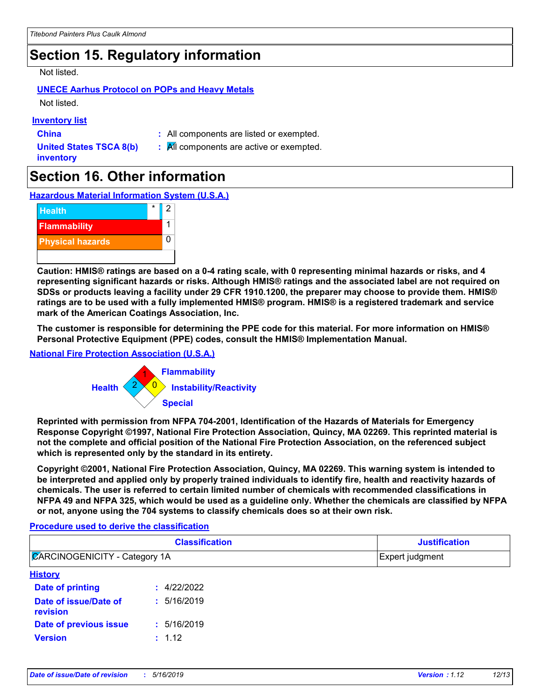# **Section 15. Regulatory information**

#### Not listed.

### **UNECE Aarhus Protocol on POPs and Heavy Metals**

Not listed.

#### **Inventory list**

**China :** All components are listed or exempted.

**United States TSCA 8(b) inventory**

**:** All components are active or exempted.

# **Section 16. Other information**

**Hazardous Material Information System (U.S.A.)**



**Caution: HMIS® ratings are based on a 0-4 rating scale, with 0 representing minimal hazards or risks, and 4 representing significant hazards or risks. Although HMIS® ratings and the associated label are not required on SDSs or products leaving a facility under 29 CFR 1910.1200, the preparer may choose to provide them. HMIS® ratings are to be used with a fully implemented HMIS® program. HMIS® is a registered trademark and service mark of the American Coatings Association, Inc.**

**The customer is responsible for determining the PPE code for this material. For more information on HMIS® Personal Protective Equipment (PPE) codes, consult the HMIS® Implementation Manual.**

#### **National Fire Protection Association (U.S.A.)**



**Reprinted with permission from NFPA 704-2001, Identification of the Hazards of Materials for Emergency Response Copyright ©1997, National Fire Protection Association, Quincy, MA 02269. This reprinted material is not the complete and official position of the National Fire Protection Association, on the referenced subject which is represented only by the standard in its entirety.**

**Copyright ©2001, National Fire Protection Association, Quincy, MA 02269. This warning system is intended to be interpreted and applied only by properly trained individuals to identify fire, health and reactivity hazards of chemicals. The user is referred to certain limited number of chemicals with recommended classifications in NFPA 49 and NFPA 325, which would be used as a guideline only. Whether the chemicals are classified by NFPA or not, anyone using the 704 systems to classify chemicals does so at their own risk.**

#### **Procedure used to derive the classification**

| <b>Classification</b><br><b>ZARCINOGENICITY - Category 1A</b> |             | <b>Justification</b><br>Expert judgment |  |
|---------------------------------------------------------------|-------------|-----------------------------------------|--|
|                                                               |             |                                         |  |
| Date of printing                                              | : 4/22/2022 |                                         |  |
| Date of issue/Date of<br>revision                             | : 5/16/2019 |                                         |  |
| Date of previous issue                                        | : 5/16/2019 |                                         |  |
| <b>Version</b>                                                | : 1.12      |                                         |  |